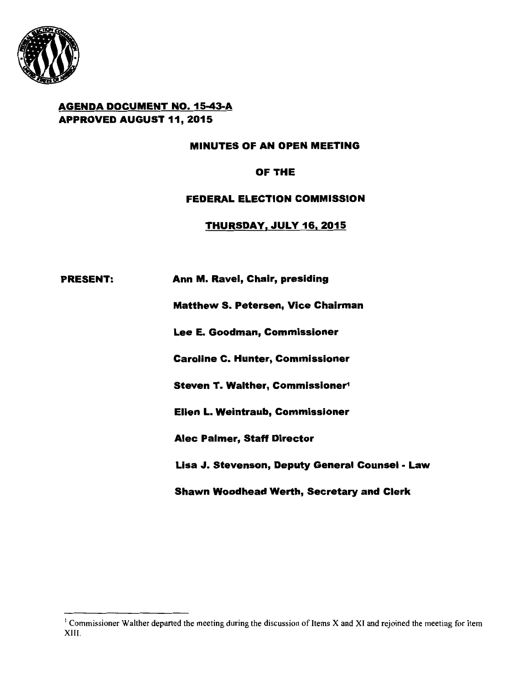

# AGENDA DOCUMENT NO. 15-43-A APPROVED AUGUST 11, 2015

## MINUTES OF AN OPEN MEETING

# OF THE

## FEDERAL ELECTION COMMISSION

## THURSDAY, JULY 16, 2015

## PRESENT: Ann M. Ravel, Chair, presiding

Matthew S. Petersen, Vice Chairman

Lee E. Goodman, Commissioner

Caroline C. Hunter, Commissioner

Steven T. Walther, Commissioner"

Ellen L. Weintraub, Commissioner

Alec Palmer, Staff Director

Lisa J. Stevenson, Deputy General Counsel - Law

Shawn Woodhead Werth, Secretary and Clerk

 $1$  Commissioner Walther departed the meeting during the discussion of Items X and XI and rejoined the meeting for Item XIII.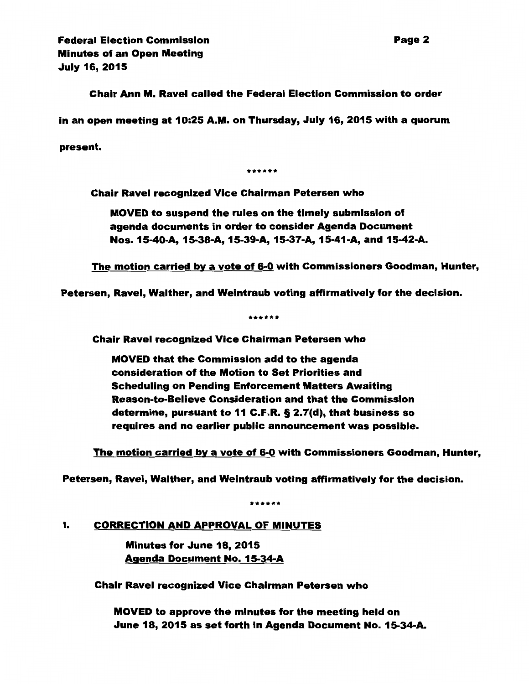Chair Ann M. Ravel called the Federal Election Commission to order

in an open meeting at 10:25 A.M. on Thursday, July 16, 2015 with a quorum

present.

\*\*\*\*\*\*

Chair Ravel recognized Vice Chairman Petersen who

MOVED to suspend the rules on the timely submission of agenda documents in order to consider Agenda Document Nos. 15-40-A, 15-38-A, 15-39-A, 15-37-A, 15-41-A, and 15-42-A.

The motion carried by a vote of 6-0 with Commissioners Goodman, Hunter,

Petersen, Ravel, Walther, and Weintraub voting affirmatively for the decision.

\*\*\*\*\*\*

Chair Ravel recognized Vice Chairman Petersen who

MOVED that the Commission add to the agenda consideration of the Motion to Set Priorities and Scheduling on Pending Enforcement Matters Awaiting Reason-to-Believe Consideration and that the Commission determine, pursuant to 11 C.F.R. § 2. 7(d), that business so requires and no earlier public announcement was possible.

The motion carried by a vote of 6-0 with Commissioners Goodman, Hunter,

Petersen, Ravel, Walther, and Weintraub voting affirmatively for the decision.

\*\*\*\*\*\*

### I. CORRECTION AND APPROVAL OF MINUTES

Minutes for June 18, 2015 Agenda Document No. 15-34-A

Chair Ravel recognized Vice Chairman Petersen who

MOVED to approve the minutes for the meeting held on June 18, 2015 as set forth in Agenda Document No. 15-34-A.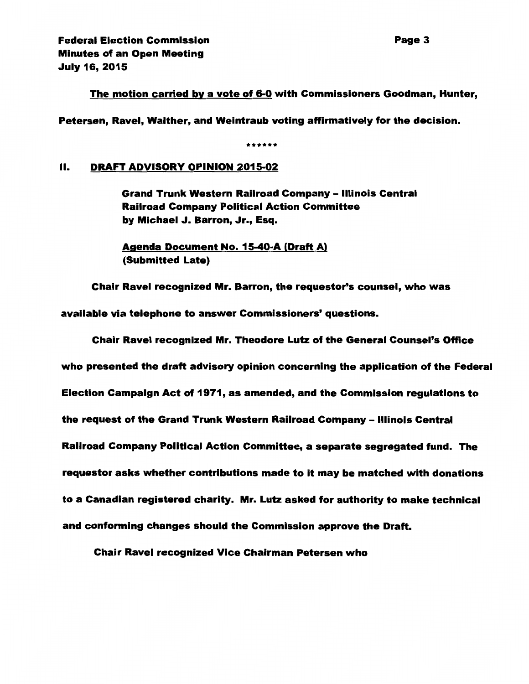The motion carried by a vote of 6-0 with Commissioners Goodman, Hunter,

Petersen, Ravel, Walther, and Weintraub voting affirmatively for the decision.

\*\*\*\*\*\*

### II. DRAFT ADVISORY OPINION 2015-02

Grand Trunk Western Railroad Company - Illinois Central Railroad Company Political Action Committee by Michael J. Barron, Jr., Esq.

Agenda Document No. 15-40-A (Draft A) (Submitted Late)

Chair Ravel recognized Mr. Barron, the requestor's counsel, who was

available via telephone to answer Commissioners' questions.

Chair Ravel recognized Mr. Theodore Lutz of the General Counsel's Office who presented the draft advisory opinion concerning the application of the Federal Election Campaign Act of 1971, as amended, and the Commission regulations to the request of the Grand Trunk Western Railroad Company - Illinois Central Railroad Company Political Action Committee, a separate segregated fund. The requestor asks whether contributions made to it may be matched with donations to a Canadian registered charity. Mr. Lutz asked for authority to make technical and conforming changes should the Commission approve the Draft.

Chair Ravel recognized Vice Chairman Petersen who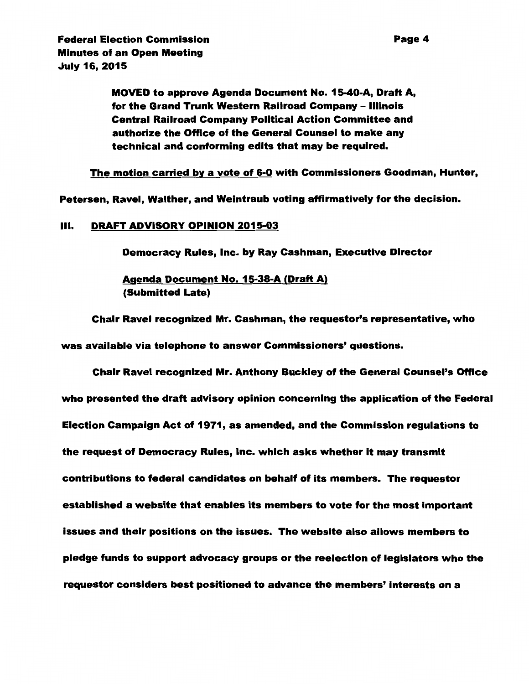MOVED to approve Agenda Document No. 15-40-A, Draft A, for the Grand Trunk Western Railroad Company - Illinois Central Railroad Company Political Action Committee and authorize the Office of the General Counsel to make any technical and conforming edits that may be required.

The motion carried by a vote of 6-0 with Commissioners Goodman, Hunter,

Petersen, Ravel, Walther, and Weintraub voting affirmatively for the decision.

#### Ill. DRAFT ADVISORY OPINION 2015-03

Democracy Rules, Inc. by Ray Cashman, Executive Director

Agenda Document No. 15-38-A (Draft A) (Submitted Late)

Chair Ravel recognized Mr. Cashman, the requestor's representative, who was available via telephone to answer Commissioners' questions.

Chair Ravel recognized Mr. Anthony Buckley of the General Counsel's Office who presented the draft advisory opinion concerning the application of the Federal Election Campaign Act of 1971, as amended, and the Commission regulations to the request of Democracy Rules, Inc. which asks whether it may transmit contributions to federal candidates on behalf of its members. The requestor established a website that enables its members to vote for the most important issues and their positions on the issues. The website also allows members to pledge funds to support advocacy groups or the reelection of legislators who the requestor considers best positioned to advance the members' interests on a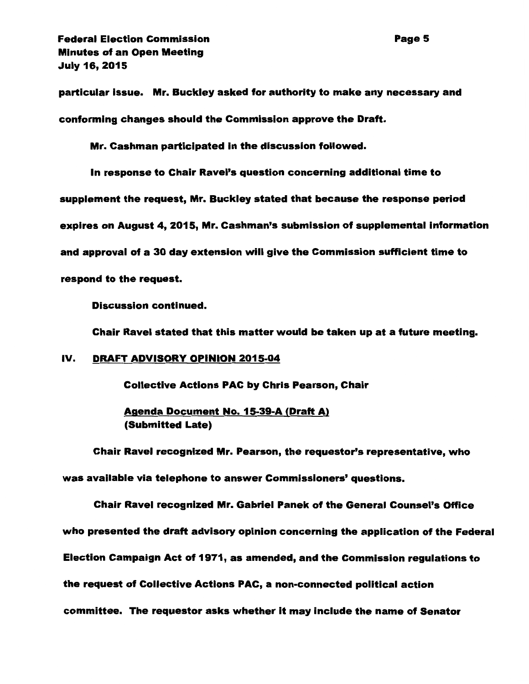particular Issue. Mr. Buckley asked for authority to make any necessary and conforming changes should the Commission approve the Draft.

Mr. Cashman participated in the discussion followed.

In response to Chair Ravel's question concerning additional time to supplement the request, Mr. Buckley stated that because the response period expires on August 4, 2015, Mr. Cashman's submission of supplemental information and approval of a 30 day extension will give the Commission sufficient time to respond to the request.

Discussion continued.

Chair Ravel stated that this matter would be taken up at a future meeting.

### IV. DRAFT ADVISORY OPINION 2015-04

Collective Actions PAC by Chris Pearson, Chair

Agenda Document No. 15-39-A (Draft A) (Submitted Late)

Chair Ravel recognized Mr. Pearson, the requestor's representative, who was available via telephone to answer Commissioners' questions.

Chair Ravel recognized Mr. Gabriel Panek of the General Counsel's Office who presented the draft advisory opinion concerning the application of the Federal Election Campaign Act of 1971, as amended, and the Commission regulations to the request of Collective Actions PAC, a non-connected political action committee. The requestor asks whether it may include the name of Senator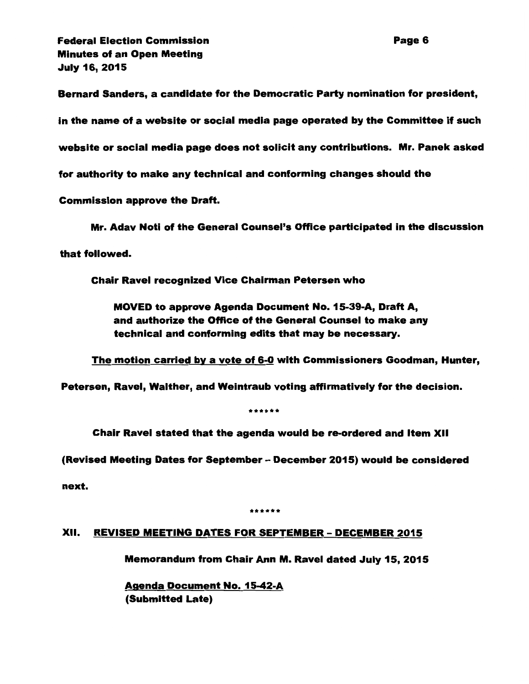Bernard Sanders, a candidate for the Democratic Party nomination for president,

in the name of a website or social media page operated by the Committee if such

website or social media page does not solicit any contributions. Mr. Panek asked

for authority to make any technical and conforming changes should the

Commission approve the Draft.

Mr. Adav Noti of the General Counsel's Office participated in the discussion

that followed.

Chair Ravel recognized Vice Chairman Petersen who

MOVED to approve Agenda Document No. 15-39-A, Draft A, and authorize the Office of the General Counsel to make any technical and conforming edits that may be necessary.

The motion carried by a vote of 6-0 with Commissioners Goodman, Hunter,

Petersen, Ravel, Walther, and Weintraub voting affirmatively for the decision.

\*\*\*\*\*\*

Chair Ravel stated that the agenda would be re-ordered and Item XII

(Revised Meeting Dates for September- December 2015) would be considered

next.

\*\*\*\*\*\*

### XII. REVISED MEETING DATES FOR SEPTEMBER- DECEMBER 2015

Memorandum from Chair Ann M. Ravel dated July 15, 2015

Agenda Document No. 15-42-A (Submitted Late)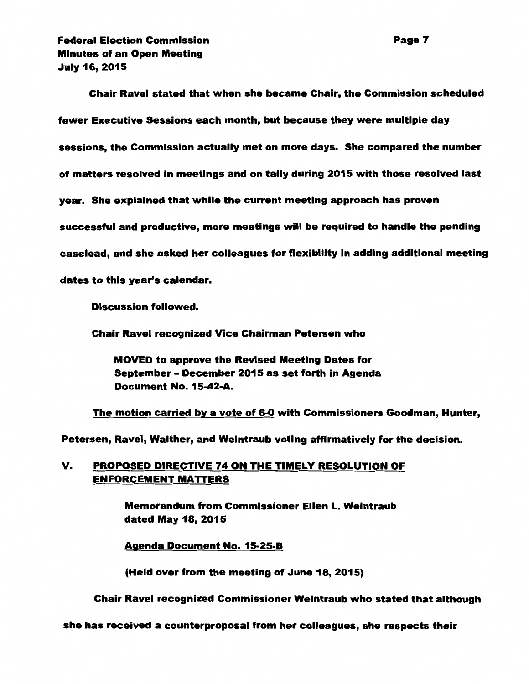Chair Ravel stated that when she became Chair, the Commission scheduled fewer Executive Sessions each month, but because they were multiple day sessions, the Commission actually met on more days. She compared the number of matters resolved in meetings and on tally during 2015 with those resolved last year. She explained that while the current meeting approach has proven successful and productive, more meetings will be required to handle the pending caseload, and she asked her colleagues for flexibility in adding additional meeting dates to this year's calendar.

Discussion followed.

Chair Ravel recognized Vice Chairman Petersen who

MOVED to approve the Revised Meeting Dates for September- December 2015 as set forth in Agenda Document No. 15-42-A.

The motion carried by a vote of 6-0 with Commissioners Goodman, Hunter,

Petersen, Ravel, Walther, and Weintraub voting affirmatively for the decision.

# V. PROPOSED DIRECTIVE 74 ON THE TIMELY RESOLUTION OF ENFORCEMENT MATTERS

Memorandum from Commissioner Ellen L. Weintraub dated May 18, 2015

Agenda Document No. 15-25-B

(Held over from the meeting of June 18, 2015)

Chair Ravel recognized Commissioner Weintraub who stated that although

she has received a counterproposal from her colleagues, she respects their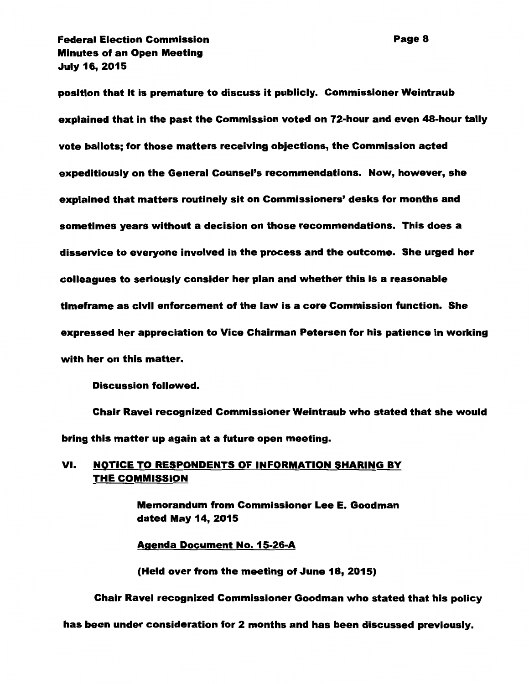position that it is premature to discuss it publicly. Commissioner Weintraub explained that in the past the Commission voted on 72-hour and even 48-hour tally vote ballots; for those matters receiving objections, the Commission acted expeditiously on the General Counsel's recommendations. Now, however, she explained that matters routinely sit on Commissioners' desks for months and sometimes years without a decision on those recommendations. This does a disservice to everyone involved in the process and the outcome. She urged her colleagues to seriously consider her plan and whether this is a reasonable timeframe as civil enforcement of the law is a core Commission function. She expressed her appreciation to Vice Chairman Petersen for his patience in working with her on this matter.

Discussion followed.

Chair Ravel recognized Commissioner Weintraub who stated that she would bring this matter up again at a future open meeting.

# VI. NOTICE TO RESPONDENTS OF INFORMATION SHARING BY THE COMMISSION

Memorandum from Commissioner Lee E. Goodman dated May 14, 2015

Agenda Document No. 15-26-A

(Held over from the meeting of June 18, 2015)

Chair Ravel recognized Commissioner Goodman who stated that his policy

## has been under consideration for 2 months and has been discussed previously.

Page 8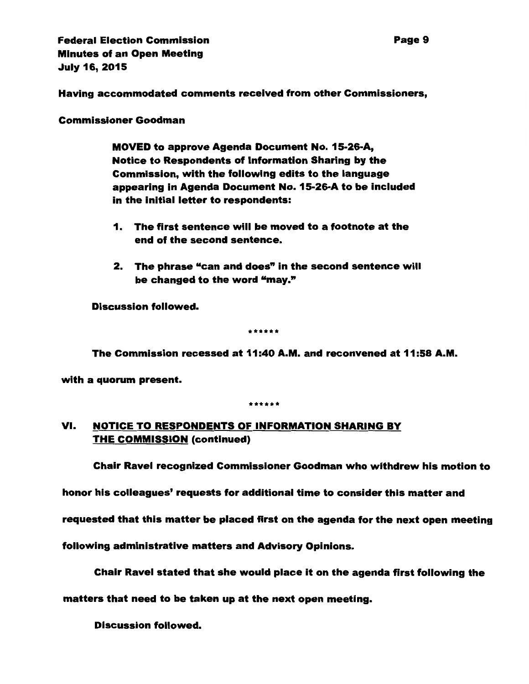Having accommodated comments received from other Commissioners,

Commissioner Goodman

MOVED to approve Agenda Document No. 15-26-A, Notice to Respondents of Information Sharing by the Commission, with the following edits to the language appearing in Agenda Document No. 15-26-A to be included in the initial letter to respondents:

- 1. The first sentence will be moved to a footnote at the end of the second sentence.
- 2. The phrase "can and does" in the second sentence will be changed to the word "may."

Discussion followed.

\*\*\*\*\*\*

The Commission recessed at 11:40 A.M. and reconvened at 11:58 A.M.

with a quorum present.

\*\*\*\*\*\*

# VI. NOTICE TO RESPONDENTS OF INFORMATION SHARING BY THE COMMISSION (continued)

Chair Ravel recognized Commissioner Goodman who withdrew his motion to

honor his colleagues' requests for additional time to consider this matter and

requested that this matter be placed first on the agenda for the next open meeting

following administrative matters and Advisory Opinions.

Chair Ravel stated that she would place it on the agenda first following the

matters that need to be taken up at the next open meeting.

Discussion followed.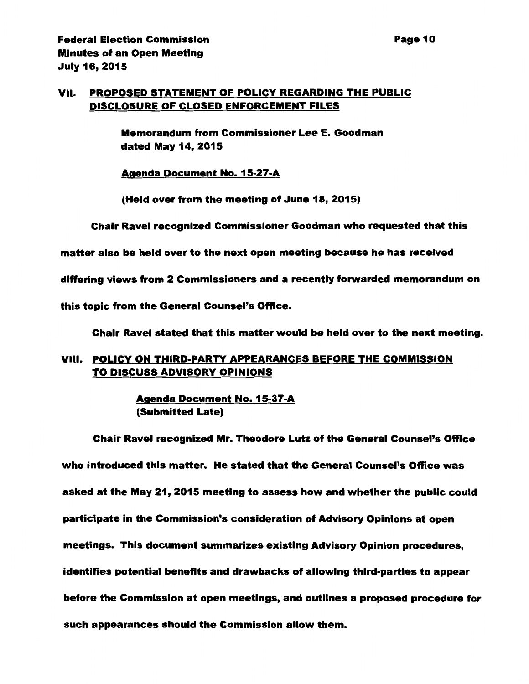# VII. PROPOSED STATEMENT OF POLICY REGARDING THE PUBLIC DISCLOSURE OF CLOSED ENFORCEMENT FILES

Memorandum from Commissioner Lee E. Goodman dated May 14, 2015

Agenda Document No. 15-27-A

(Held over from the meeting of June 18, 2015)

Chair Ravel recognized Commissioner Goodman who requested that this

matter also be held over to the next open meeting because he has received

differing views from 2 Commissioners and a recently forwarded memorandum on

this topic from the General Counsel's Office.

Chair Ravel stated that this matter would be held over to the next meeting.

# VIII. POLICY ON THIRD-PARTY APPEARANCES BEFORE THE COMMISSION TO DISCUSS ADVISORY OPINIONS

Agenda Document No. 15-37-A (Submitted Late)

Chair Ravel recognized Mr. Theodore Lutz of the General Counsel's Office who introduced this matter. He stated that the General Counsel's Office was asked at the May 21, 2015 meeting to assess how and whether the public could participate in the Commission's consideration of Advisory Opinions at open meetings. This document summarizes existing Advisory Opinion procedures, identifies potential benefits and drawbacks of allowing third-parties to appear before the Commission at open meetings, and outlines a proposed procedure for such appearances should the Commission allow them.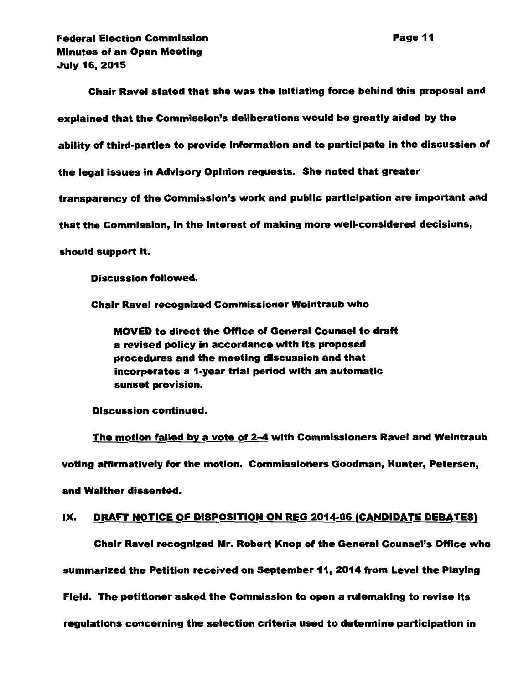Chair Ravel stated that she was the initiating force behind this proposal and explained that the Commission's deliberations would be greatly aided by the ability of third-parties to provide information and to participate in the discussion of the legal issues in Advisory Opinion requests. She noted that greater transparency of the Commission's work and public participation are important and that the Commission, in the interest of making more well-considered decisions, should support it.

Discussion followed.

Chair Ravel recognized Commissioner Weintraub who

MOVED to direct the Office of General Counsel to draft a revised policy in accordance with its proposed procedures and the meeting discussion and that incorporates a 1-year trial period with an automatic sunset provision.

Discussion continued.

The motion failed by a vote of 2-4 with Commissioners Ravel and Weintraub voting affirmatively for the motion. Commissioners Goodman, Hunter, Petersen, and Walther dissented.

### IX. DRAFT NOTICE OF DISPOSITION ON REG 2014-06 (CANDIDATE DEBATES)

Chair Ravel recognized Mr. Robert Knop of the General Counsel's Office who summarized the Petition received on September 11, 2014 from Level the Playing Field. The petitioner asked the Commission to open a rulemaking to revise its regulations concerning the selection criteria used to determine participation in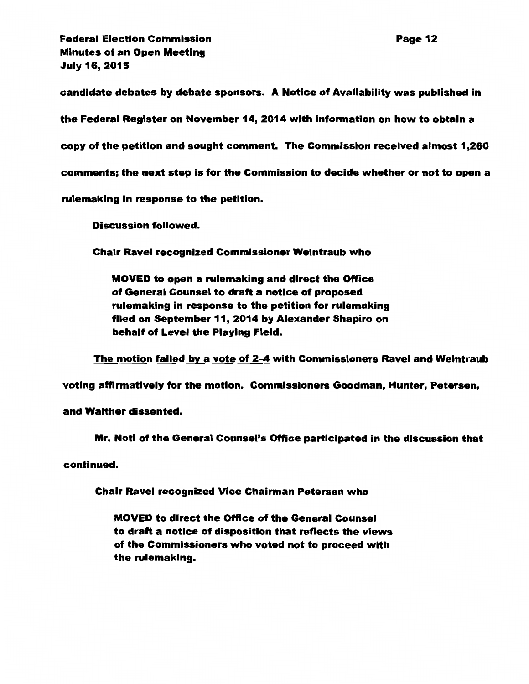candidate debates by debate sponsors. A Notice of Availability was published in

the Federal Register on November 14, 2014 with information on how to obtain a

copy of the petition and sought comment. The Commission received almost 1 ,260

comments; the next step is for the Commission to decide whether or not to open a

rulemaking in response to the petition.

Discussion followed.

Chair Ravel recognized Commissioner Weintraub who

MOVED to open a rulemaking and direct the Office of General Counsel to draft a notice of proposed rulemaking in response to the petition for rulemaking filed on September 11, 2014 by Alexander Shapiro on behalf of Level the Playing Field.

The motion failed by a vote of 2-4 with Commissioners Ravel and Weintraub

voting affirmatively for the motion. Commissioners Goodman, Hunter, Petersen,

and Walther dissented.

Mr. Noti of the General Counsel's Office participated in the discussion that

continued.

Chair Ravel recognized Vice Chairman Petersen who

MOVED to direct the Office of the General Counsel to draft a notice of disposition that reflects the views of the Commissioners who voted not to proceed with the rulemaking.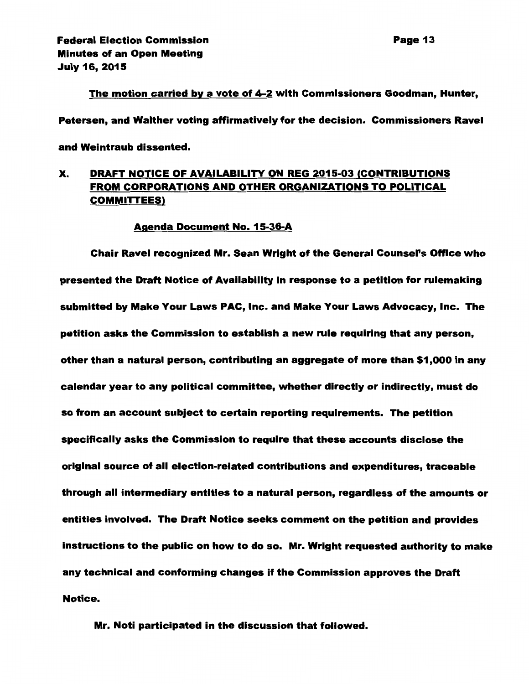#### The motion carried by a vote of 4-2 with Commissioners Goodman, Hunter,

Petersen, and Walther voting affirmatively for the decision. Commissioners Ravel

and Weintraub dissented.

# X. DRAFT NOTICE OF AVAILABILITY ON REG 2015-03 (CONTRIBUTIONS FROM CORPORATIONS AND OTHER ORGANIZATIONS TO POLITICAL COMMITTEES)

#### Agenda Document No. 15-36-A

Chair Ravel recognized Mr. Sean Wright of the General Counsel's Office who presented the Draft Notice of Availability in response to a petition for rulemaking submitted by Make Your Laws PAC, Inc. and Make Your Laws Advocacy, Inc. The petition asks the Commission to establish a new rule requiring that any person, other than a natural person, contributing an aggregate of more than \$1 ,000 in any calendar year to any political committee, whether directly or indirectly, must do so from an account subject to certain reporting requirements. The petition specifically asks the Commission to require that these accounts disclose the original source of all election-related contributions and expenditures, traceable through all intermediary entities to a natural person, regardless of the amounts or entities Involved. The Draft Notice seeks comment on the petition and provides instructions to the public on how to do so. Mr. Wright requested authority to make any technical and conforming changes if the Commission approves the Draft Notice.

Mr. Noti participated in the discussion that followed.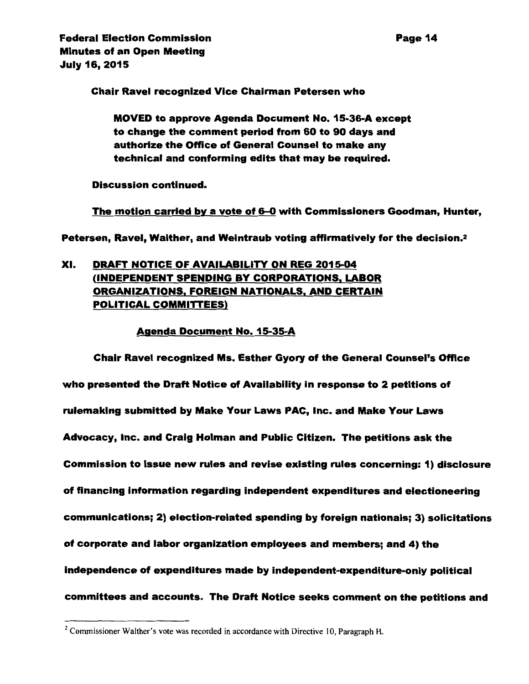Chair Ravel recognized Vice Chairman Petersen who

MOVED to approve Agenda Document No. 15-36-A except to change the comment period from 60 to 90 days and authorize the Office of General Counsel to make any technical and conforming edits that may be required.

Discussion continued.

The motion carried by a vote of 6-0 with Commissioners Goodman, Hunter,

Petersen, Ravel, Walther, and Weintraub voting affirmatively for the decision.2

# XI. DRAFT NOTICE OF AVAILABILITY ON REG 2015-04 (INDEPENDENT SPENDING BY CORPORATIONS, LABOR ORGANIZATIONS, FOREIGN NATIONALS, AND CERTAIN POLITICAL COMMITTEES)

## Agenda Document No. 15-35-A

Chair Ravel recognized Ms. Esther Gyory of the General Counsel's Office who presented the Draft Notice of Availability in response to 2 petitions of rulemaking submitted by Make Your Laws PAC, Inc. and Make Your Laws Advocacy, Inc. and Craig Holman and Public Citizen. The petitions ask the Commission to issue new rules and revise existing rules concerning: 1) disclosure of financing information regarding independent expenditures and electioneering communications; 2) election-related spending by foreign nationals; 3) solicitations of corporate and labor organization employees and members; and 4) the independence of expenditures made by independent-expenditure-only political committees and accounts. The Draft Notice seeks comment on the petitions and

 $2$  Commissioner Walther's vote was recorded in accordance with Directive 10, Paragraph H.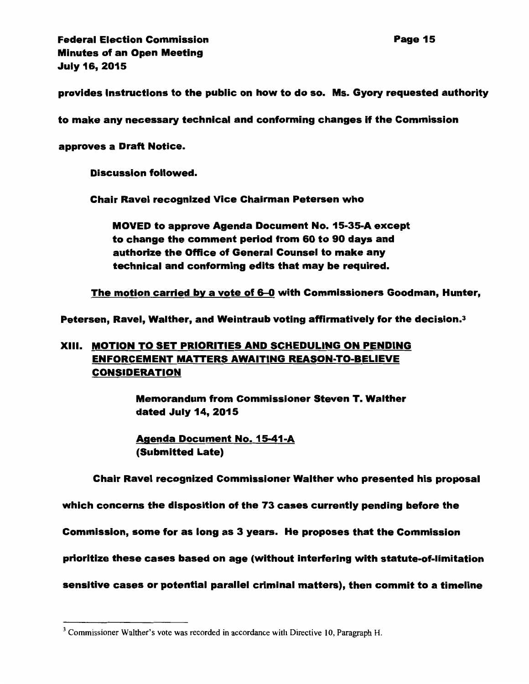provides Instructions to the public on how to do so. Ms. Gyory requested authority

to make any necessary technical and conforming changes if the Commission

approves a Draft Notice.

Discussion followed.

Chair Ravel recognized Vice Chairman Petersen who

MOVED to approve Agenda Document No. 15-35-A except to change the comment period from 60 to 90 days and authorize the Office of General Counsel to make any technical and conforming edits that may be required.

The motion carried by a vote of 6-0 with Commissioners Goodman, Hunter,

Petersen, Ravel, Walther, and Weintraub voting affirmatively for the decision.3

# XIII. MOTION TO SET PRIORITIES AND SCHEDULING ON PENDING ENFORCEMENT MATTERS AWAITING REASON-TO-BELIEVE CONSIDERATION

Memorandum from Commissioner Steven T. Walther dated July 14, 2015

Agenda Document No. 15-41-A (Submitted Late)

Chair Ravel recognized Commissioner Walther who presented his proposal

which concerns the disposition of the 73 cases currently pending before the

Commission, some for as long as 3 years. He proposes that the Commission

prioritize these cases based on age (without interfering with statute-of-limitation

sensitive cases or potential parallel criminal matters), then commit to a timeline

<sup>&</sup>lt;sup>3</sup> Commissioner Walther's vote was recorded in accordance with Directive 10, Paragraph H.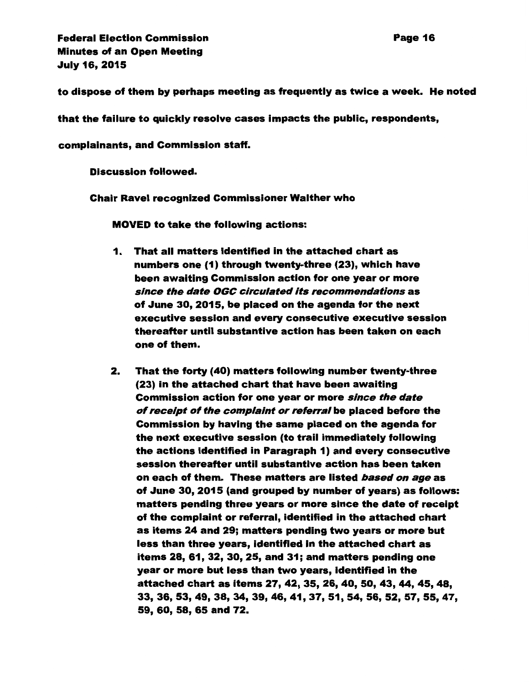to dispose of them by perhaps meeting as frequently as twice a week. He noted

that the failure to quickly resolve cases impacts the public, respondents,

complainants, and Commission staff.

Discussion followed.

Chair Ravel recognized Commissioner Walther who

MOVED to take the following actions:

- 1. That all matters identified in the attached chart as numbers one (1) through twenty-three (23), which have been awaiting Commission action for one year or more since the date OGC circulated Its recommendations as of June 30, 2015, be placed on the agenda for the next executive session and every consecutive executive session thereafter until substantive action has been taken on each one of them.
- 2. That the forty (40) matters following number twenty-three (23) in the attached chart that have been awaiting Commission action for one year or more since the date of receipt of the complaint or referral be placed before the Commission by having the same placed on the agenda for the next executive session (to trail immediately following the actions identified in Paragraph 1) and every consecutive session thereafter until substantive action has been taken on each of them. These matters are listed *based on age* as of June 30, 2015 (and grouped by number of years) as follows: matters pending three years or more since the date of receipt of the complaint or referral, identified in the attached chart as items 24 and 29; matters pending two years or more but less than three years, identified in the attached chart as items 28, 61, 32, 30, 25, and 31; and matters pending one year or more but less than two years, identified in the attached chart as items 27, 42, 35, 26, 40, 50, 43, 44, 45, 48, 33,36,53,49,38,34,39,46,41,37,51,54,56,52,57,55,47, 59, 60, 58, 65 and 72.